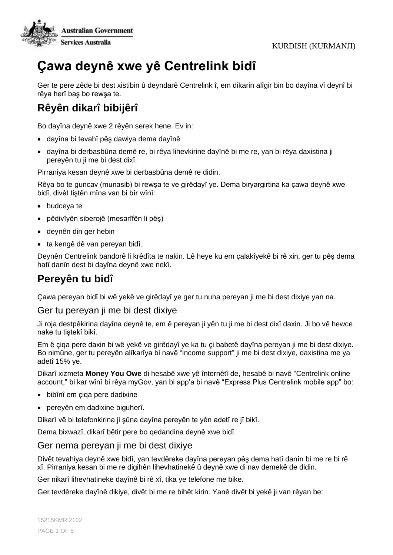

# **Çawa deynê xwe yê Centrelink bidî**

Ger te pere zêde bi dest xistibin û deyndarê Centrelink î, em dikarin alîgir bin bo dayîna vî deynî bi rêya herî baş bo rewşa te.

# **Rêyên dikarî bibijêrî**

Bo dayîna deynê xwe 2 rêyên serek hene. Ev in:

- dayîna bi tevahî pêş dawiya dema dayînê
- dayîna bi derbasbûna demê re, bi rêya lihevkirine dayînê bi me re, yan bi rêya daxistina ji pereyên tu ji me bi dest dixî.

Pirraniya kesan deynê xwe bi derbasbûna demê re didin.

Rêya bo te guncav (munasib) bi rewşa te ve girêdayî ye. Dema biryargirtina ka çawa deynê xwe bidî, divêt tiştên mîna van bi bîr wînî:

- budceya te
- pêdivîyên siberojê (mesarîfên li pêş)
- deynên din ger hebin
- ta kengê dê van pereyan bidî.

Deynên Centrelink bandorê li krêdîta te nakin. Lê heye ku em çalakîyekê bi rê xin, ger tu pêş dema hatî danîn dest bi dayîna deynê xwe nekî.

# **Pereyên tu bidî**

Çawa pereyan bidî bi wê yekê ve girêdayî ye ger tu nuha pereyan ji me bi dest dixiye yan na.

#### Ger tu pereyan ji me bi dest dixiye

Ji roja destpêkirina dayîna deynê te, em ê pereyan ji yên tu ji me bi dest dixî daxin. Ji bo vê hewce nake tu tiştekî bikî.

Em ê çiqa pere daxin bi wê yekê ve girêdayî ye ka tu çi babetê dayîna pereyan ji me bi dest dixiye. Bo nimûne, ger tu pereyên alîkarîya bi navê "income support" ji me bi dest dixiye, daxistina me ya adetî 15% ye.

Dikarî xizmeta **Money You Owe** di hesabê xwe yê înternêtî de, hesabê bi navê "Centrelink online account," bi kar wînî bi rêya myGov, yan bi app'a bi navê "Express Plus Centrelink mobile app" bo:

- bibînî em çiqa pere dadixine
- pereyên em dadixine biguherî.

Dikarî vê bi telefonkirina ji şûna dayîna pereyên te yên adetî re jî bikî.

Dema bixwazî, dikarî bêtir pere bo qedandina deynê xwe bidî.

#### Ger nema pereyan ji me bi dest dixiye

Divêt tevahiya deynê xwe bidî, yan tevdêreke dayîna pereyan pêş dema hatî danîn bi me re bi rê xî. Pirraniya kesan bi me re digihên lihevhatinekê û deynê xwe di nav demekê de didin.

Ger nikarî lihevhatineke dayînê bi rê xî, tika ye telefone me bike.

Ger tevdêreke dayînê dikiye, divêt bi me re bihêt kirin. Yanê divêt bi yekê ji van rêyan be: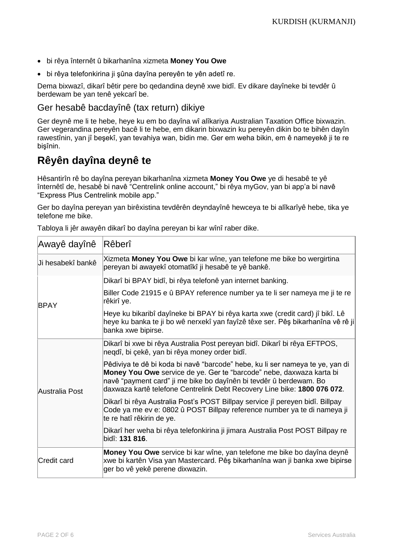- bi rêya înternêt û bikarhanîna xizmeta **Money You Owe**
- bi rêya telefonkirina ji şûna dayîna pereyên te yên adetî re.

Dema bixwazî, dikarî bêtir pere bo qedandina deynê xwe bidî. Ev dikare dayîneke bi tevdêr û berdewam be yan tenê yekcarî be.

### Ger hesabê bacdayînê (tax return) dikiye

Ger deynê me li te hebe, heye ku em bo dayîna wî alîkariya Australian Taxation Office bixwazin. Ger vegerandina pereyên bacê li te hebe, em dikarin bixwazin ku pereyên dikin bo te bihên dayîn rawestînin, yan jî beşekî, yan tevahiya wan, bidin me. Ger em weha bikin, em ê nameyekê ji te re bişînin.

# **Rêyên dayîna deynê te**

Hêsantirîn rê bo dayîna pereyan bikarhanîna xizmeta **Money You Owe** ye di hesabê te yê înternêtî de, hesabê bi navê "Centrelink online account," bi rêya myGov, yan bi app'a bi navê "Express Plus Centrelink mobile app."

Ger bo dayîna pereyan yan birêxistina tevdêrên deyndayînê hewceya te bi alîkarîyê hebe, tika ye telefone me bike.

| Awayê dayînê       | Rêberî                                                                                                                                                                                                                                                                                                  |
|--------------------|---------------------------------------------------------------------------------------------------------------------------------------------------------------------------------------------------------------------------------------------------------------------------------------------------------|
| Ji hesabekî bankê  | Xizmeta Money You Owe bi kar wîne, yan telefone me bike bo wergirtina<br>pereyan bi awayekî otomatîkî ji hesabê te yê bankê.                                                                                                                                                                            |
| <b>BPAY</b>        | Dikarî bi BPAY bidî, bi rêya telefonê yan internet banking.                                                                                                                                                                                                                                             |
|                    | Biller Code 21915 e û BPAY reference number ya te li ser nameya me ji te re<br>rêkirî ye.                                                                                                                                                                                                               |
|                    | Heye ku bikaribî dayîneke bi BPAY bi rêya karta xwe (credit card) jî bikî. Lê<br>heye ku banka te ji bo wê nerxekî yan fayîzê têxe ser. Pêş bikarhanîna vê rê ji<br>banka xwe bipirse.                                                                                                                  |
| Australia Post     | Dikarî bi xwe bi rêya Australia Post pereyan bidî. Dikarî bi rêya EFTPOS,<br>neqdî, bi çekê, yan bi rêya money order bidî.                                                                                                                                                                              |
|                    | Pêdiviya te dê bi koda bi navê "barcode" hebe, ku li ser nameya te ye, yan di<br>Money You Owe service de ye. Ger te "barcode" nebe, daxwaza karta bi<br>navê "payment card" ji me bike bo dayînên bi tevdêr û berdewam. Bo<br>daxwaza kartê telefone Centrelink Debt Recovery Line bike: 1800 076 072. |
|                    | Dikarî bi rêya Australia Post's POST Billpay service jî pereyen bidî. Billpay<br>Code ya me ev e: 0802 û POST Billpay reference number ya te di nameya ji<br>te re hatî rêkirin de ye.                                                                                                                  |
|                    | Dikarî her weha bi rêya telefonkirina ji jimara Australia Post POST Billpay re<br>bidî: 131 816.                                                                                                                                                                                                        |
| <b>Credit card</b> | Money You Owe service bi kar wîne, yan telefone me bike bo dayîna deynê<br>xwe bi kartên Visa yan Mastercard. Pêş bikarhanîna wan ji banka xwe bipirse<br>ger bo vê yekê perene dixwazin.                                                                                                               |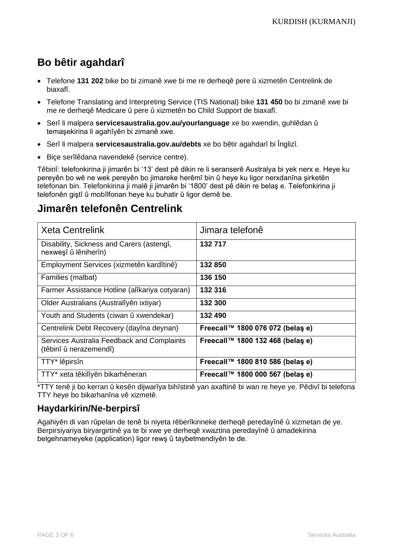# **Bo bêtir agahdarî**

- Telefone **131 202** bike bo bi zimanê xwe bi me re derheqê pere û xizmetên Centrelink de biaxafî.
- Telefone Translating and Interpreting Service (TIS National) bike **131 450** bo bi zimanê xwe bi me re derheqê Medicare û pere û xizmetên bo Child Support de biaxafî.
- Serî li malpera **[servicesaustralia.gov.au/yourlanguage](http://humanservices.gov.au/yourlanguage)** xe bo xwendin, guhlêdan û temaşekirina li agahîyên bi zimanê xwe.
- Serî li malpera **servicesaustralia.gov.au/debts** xe bo bêtir agahdarî bi Înglizî.
- Biçe serîlêdana navendekê (service centre).

Têbinî: telefonkirina ji jimarên bi '13' dest pê dikin re li seranserê Australya bi yek nerx e. Heye ku pereyên bo wê ne wek pereyên bo jimareke herêmî bin û heye ku ligor nerxdanîna şirketên telefonan bin. Telefonkirina ji malê ji jimarên bi '1800' dest pê dikin re belaş e. Telefonkirina ji telefonên giştî û mobîlfonan heye ku buhatir û ligor demê be.

# **Jimarên telefonên Centrelink**

| <b>Xeta Centrelink</b>                                               | Jimara telefonê                  |
|----------------------------------------------------------------------|----------------------------------|
| Disability, Sickness and Carers (astengî,<br>nexweşî û lêniherîn)    | 132 717                          |
| Employment Services (xizmetên kardîtinê)                             | 132850                           |
| Families (malbat)                                                    | 136 150                          |
| Farmer Assistance Hotline (alîkariya cotyaran)                       | 132 316                          |
| Older Australians (Australîyên ixtiyar)                              | 132 300                          |
| Youth and Students (ciwan û xwendekar)                               | 132 490                          |
| Centrelink Debt Recovery (dayîna deynan)                             | Freecall™ 1800 076 072 (belas e) |
| Services Australia Feedback and Complaints<br>(têbinî û nerazemendî) | Freecall™ 1800 132 468 (belas e) |
| TTY* lêpirsîn                                                        | Freecall™ 1800 810 586 (belas e) |
| TTY* xeta têkilîyên bikarhêneran                                     | Freecall™ 1800 000 567 (belas e) |

\*TTY tenê ji bo kerran û kesên dijwarîya bihîstinê yan axaftinê bi wan re heye ye. Pêdivî bi telefona TTY heye bo bikarhanîna vê xizmetê.

### **Haydarkirin/Ne-berpirsî**

Agahiyên di van rûpelan de tenê bi niyeta rêberîkirineke derheqê peredayînê û xizmetan de ye. Berpirsiyariya biryargirtinê ya te bi xwe ye derheqê xwaztina peredayînê û amadekirina belgehnameyeke (application) ligor rewş û taybetmendiyên te de.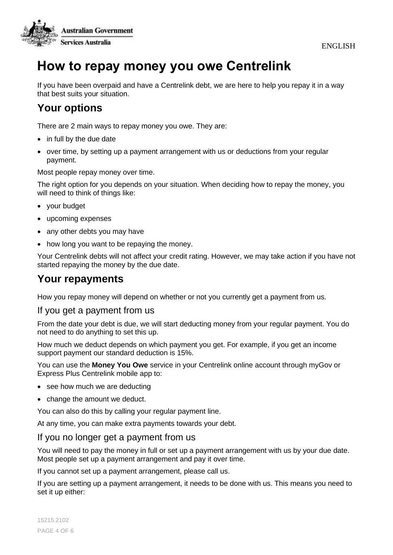ENGLISH



# **How to repay money you owe Centrelink**

If you have been overpaid and have a Centrelink debt, we are here to help you repay it in a way that best suits your situation.

# **Your options**

There are 2 main ways to repay money you owe. They are:

- in full by the due date
- over time, by setting up a payment arrangement with us or deductions from your regular payment.

Most people repay money over time.

The right option for you depends on your situation. When deciding how to repay the money, you will need to think of things like:

- your budget
- upcoming expenses
- any other debts you may have
- how long you want to be repaying the money.

Your Centrelink debts will not affect your credit rating. However, we may take action if you have not started repaying the money by the due date.

## **Your repayments**

How you repay money will depend on whether or not you currently get a payment from us.

### If you get a payment from us

From the date your debt is due, we will start deducting money from your regular payment. You do not need to do anything to set this up.

How much we deduct depends on which payment you get. For example, if you get an income support payment our standard deduction is 15%.

You can use the **Money You Owe** service in your Centrelink online account through myGov or Express Plus Centrelink mobile app to:

- see how much we are deducting
- change the amount we deduct.

You can also do this by calling your regular payment line.

At any time, you can make extra payments towards your debt.

### If you no longer get a payment from us

You will need to pay the money in full or set up a payment arrangement with us by your due date. Most people set up a payment arrangement and pay it over time.

If you cannot set up a payment arrangement, please call us.

If you are setting up a payment arrangement, it needs to be done with us. This means you need to set it up either: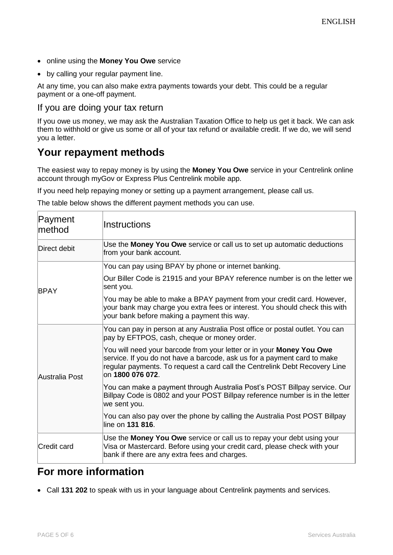- online using the **Money You Owe** service
- by calling your regular payment line.

At any time, you can also make extra payments towards your debt. This could be a regular payment or a one-off payment.

### If you are doing your tax return

If you owe us money, we may ask the Australian Taxation Office to help us get it back. We can ask them to withhold or give us some or all of your tax refund or available credit. If we do, we will send you a letter.

## **Your repayment methods**

The easiest way to repay money is by using the **Money You Owe** service in your Centrelink online account through myGov or Express Plus Centrelink mobile app.

If you need help repaying money or setting up a payment arrangement, please call us.

The table below shows the different payment methods you can use.

| Payment<br>method  | Instructions                                                                                                                                                                                                                                       |
|--------------------|----------------------------------------------------------------------------------------------------------------------------------------------------------------------------------------------------------------------------------------------------|
| Direct debit       | Use the Money You Owe service or call us to set up automatic deductions<br>from your bank account.                                                                                                                                                 |
| <b>BPAY</b>        | You can pay using BPAY by phone or internet banking.                                                                                                                                                                                               |
|                    | Our Biller Code is 21915 and your BPAY reference number is on the letter we<br>sent you.                                                                                                                                                           |
|                    | You may be able to make a BPAY payment from your credit card. However,<br>your bank may charge you extra fees or interest. You should check this with<br>your bank before making a payment this way.                                               |
| Australia Post     | You can pay in person at any Australia Post office or postal outlet. You can<br>pay by EFTPOS, cash, cheque or money order.                                                                                                                        |
|                    | You will need your barcode from your letter or in your Money You Owe<br>service. If you do not have a barcode, ask us for a payment card to make<br>regular payments. To request a card call the Centrelink Debt Recovery Line<br>on 1800 076 072. |
|                    | You can make a payment through Australia Post's POST Billpay service. Our<br>Billpay Code is 0802 and your POST Billpay reference number is in the letter<br>we sent you.                                                                          |
|                    | You can also pay over the phone by calling the Australia Post POST Billpay<br>lline on 131 816.                                                                                                                                                    |
| <b>Credit card</b> | Use the Money You Owe service or call us to repay your debt using your<br>Visa or Mastercard. Before using your credit card, please check with your<br>bank if there are any extra fees and charges.                                               |

### **For more information**

• Call **131 202** to speak with us in your language about Centrelink payments and services.